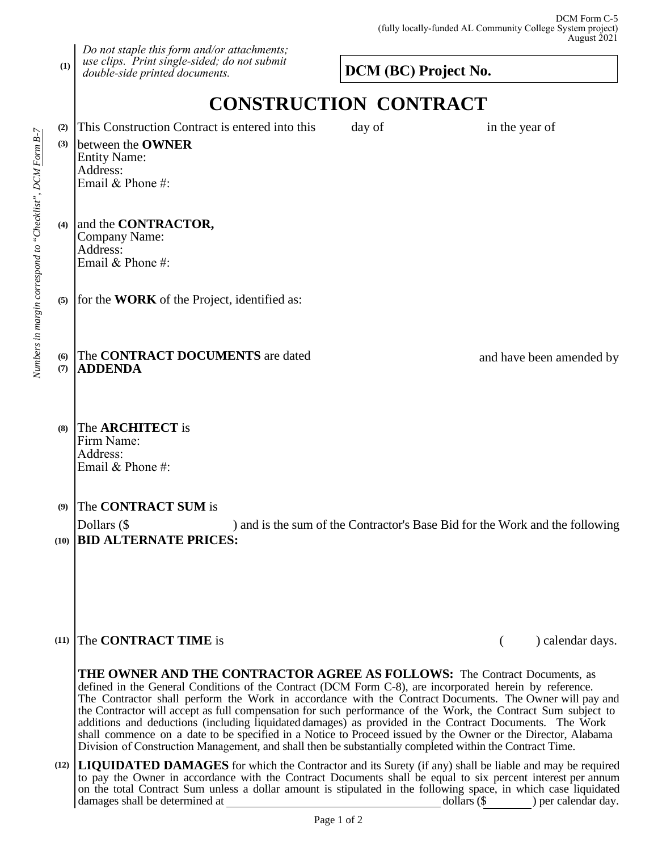## **DCM (BC) Project No.**

# **CONSTRUCTION CONTRACT**

**(4) (5)** (6) The **CONTRACT DOCUMENTS** are dated and have been amended by **(7) (8) (9)** between the **OWNER**  Entity Name: Address: Email & Phone #: and the **CONTRACTOR,** Company Name: Address: Email & Phone #: for the **WORK** of the Project, identified as: **ADDENDA** The **ARCHITECT** is Firm Name: Address: Email & Phone #: The **CONTRACT SUM** is

### Dollars (\$ ) and is the sum of the Contractor's Base Bid for the Work and the following **(10) BID ALTERNATE PRICES:**

*Do not staple this form and/or attachments; use clips. Print single-sided; do not submit* 

*double-side printed documents.*

## **(11)** The **CONTRACT TIME** is ( ) calendar days.

**THE OWNER AND THE CONTRACTOR AGREE AS FOLLOWS:** The Contract Documents, as defined in the General Conditions of the Contract (DCM Form C-8), are incorporated herein by reference. The Contractor shall perform the Work in accordance with the Contract Documents. The Owner will pay and the Contractor will accept as full compensation for such performance of the Work, the Contract Sum subject to additions and deductions (including liquidated damages) as provided in the Contract Documents. The Work shall commence on a date to be specified in a Notice to Proceed issued by the Owner or the Director, Alabama Division of Construction Management, and shall then be substantially completed within the Contract Time.

**(12) LIQUIDATED DAMAGES** for which the Contractor and its Surety (if any) shall be liable and may be required to pay the Owner in accordance with the Contract Documents shall be equal to six percent interest per annum on the total Contract Sum unless a dollar amount is stipulated in the following space, in which case liquidated damages shall be determined at